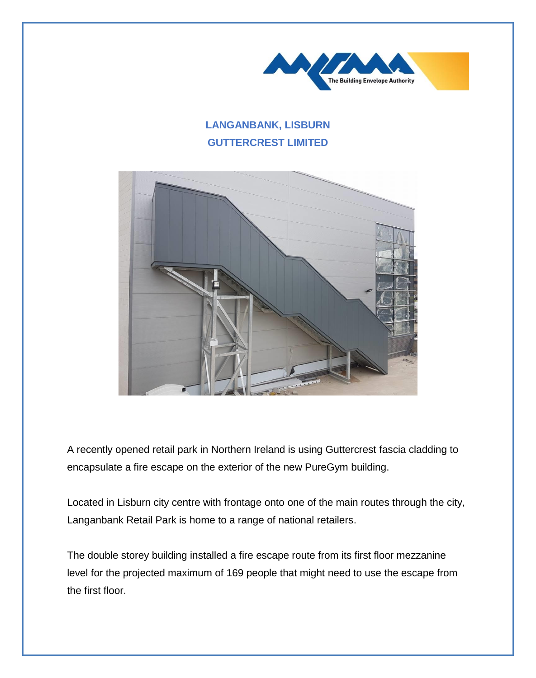

## **LANGANBANK, LISBURN GUTTERCREST LIMITED**



A recently opened retail park in Northern Ireland is using Guttercrest fascia cladding to encapsulate a fire escape on the exterior of the new PureGym building.

Located in Lisburn city centre with frontage onto one of the main routes through the city, Langanbank Retail Park is home to a range of national retailers.

The double storey building installed a fire escape route from its first floor mezzanine level for the projected maximum of 169 people that might need to use the escape from the first floor.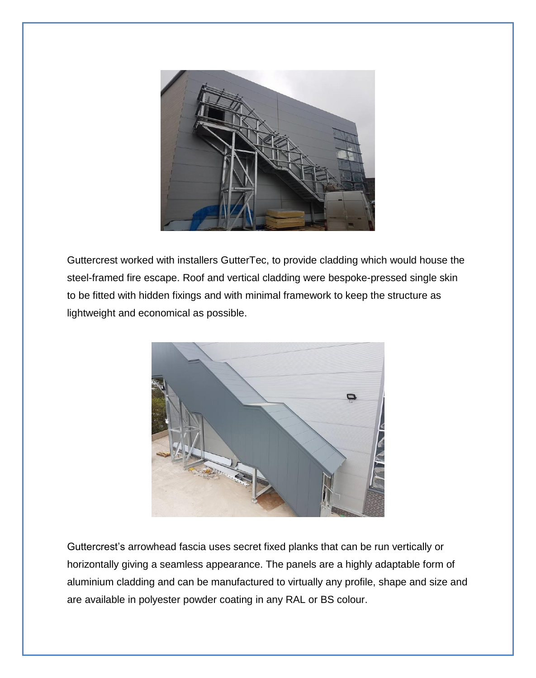

Guttercrest worked with installers GutterTec, to provide cladding which would house the steel-framed fire escape. Roof and vertical cladding were bespoke-pressed single skin to be fitted with hidden fixings and with minimal framework to keep the structure as lightweight and economical as possible.



Guttercrest's arrowhead fascia uses secret fixed planks that can be run vertically or horizontally giving a seamless appearance. The panels are a highly adaptable form of aluminium cladding and can be manufactured to virtually any profile, shape and size and are available in polyester powder coating in any RAL or BS colour.